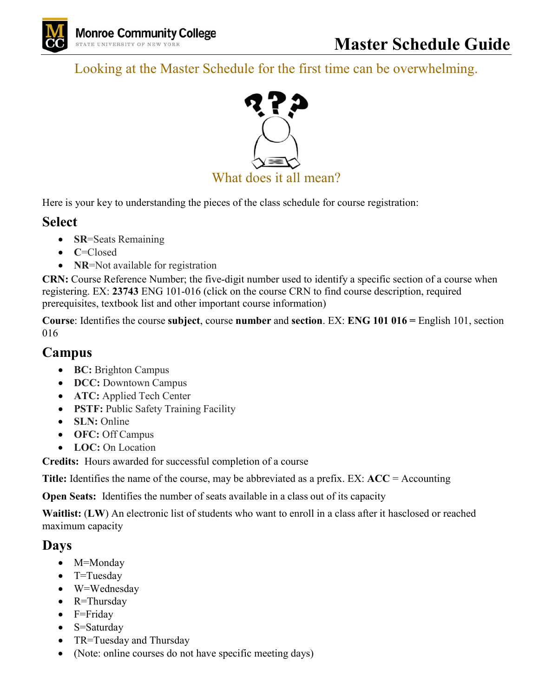

Looking at the Master Schedule for the first time can be overwhelming.



Here is your key to understanding the pieces of the class schedule for course registration:

## **Select**

- **SR**=Seats Remaining
- **C**=Closed
- **NR**=Not available for registration

**CRN:** Course Reference Number; the five-digit number used to identify a specific section of a course when registering. EX: **23743** ENG 101-016 (click on the course CRN to find course description, required prerequisites, textbook list and other important course information)

**Course**: Identifies the course **subject**, course **number** and **section**. EX: **ENG 101 016 =** English 101, section 016

## **Campus**

- **BC:** Brighton Campus
- **DCC:** Downtown Campus
- **ATC:** Applied Tech Center
- **PSTF:** Public Safety Training Facility
- **SLN:** Online
- **OFC:** Off Campus
- **LOC:** On Location

**Credits:** Hours awarded for successful completion of a course

**Title:** Identifies the name of the course, may be abbreviated as a prefix. EX: **ACC** = Accounting

**Open Seats:** Identifies the number of seats available in a class out of its capacity

**Waitlist:** (**LW**) An electronic list of students who want to enroll in a class after it hasclosed or reached maximum capacity

## **Days**

- M=Monday
- T=Tuesday
- W=Wednesday
- R=Thursday
- F=Friday
- S=Saturday
- TR=Tuesday and Thursday
- (Note: online courses do not have specific meeting days)